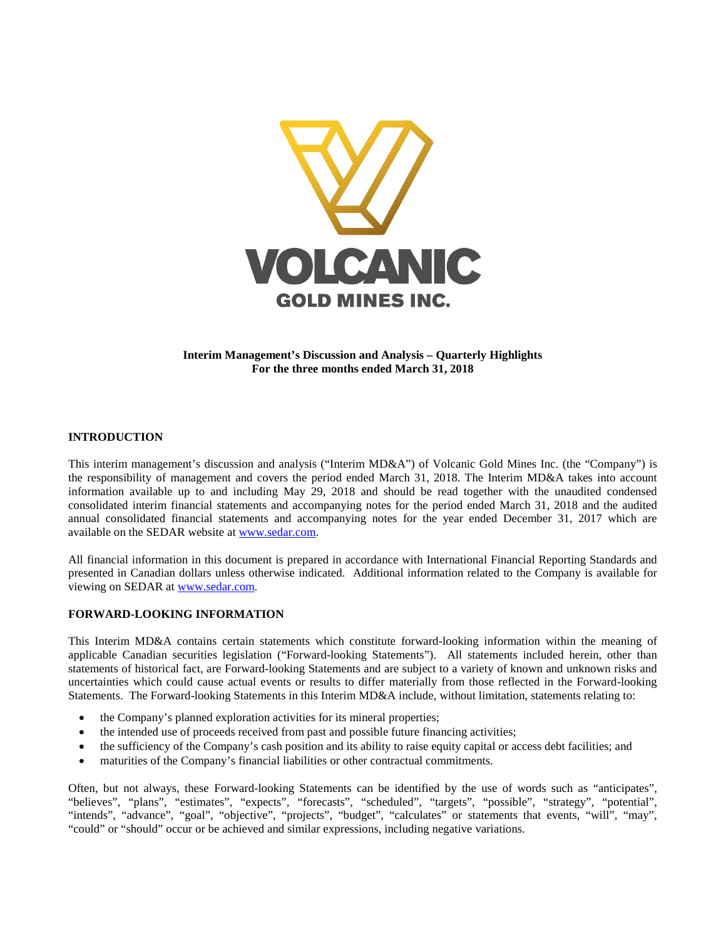

### **Interim Management's Discussion and Analysis – Quarterly Highlights For the three months ended March 31, 2018**

# **INTRODUCTION**

This interim management's discussion and analysis ("Interim MD&A") of Volcanic Gold Mines Inc. (the "Company") is the responsibility of management and covers the period ended March 31, 2018. The Interim MD&A takes into account information available up to and including May 29, 2018 and should be read together with the unaudited condensed consolidated interim financial statements and accompanying notes for the period ended March 31, 2018 and the audited annual consolidated financial statements and accompanying notes for the year ended December 31, 2017 which are available on the SEDAR website at [www.sedar.com.](http://www.sedar.com/)

All financial information in this document is prepared in accordance with International Financial Reporting Standards and presented in Canadian dollars unless otherwise indicated. Additional information related to the Company is available for viewing on SEDAR at [www.sedar.com.](http://www.sedar.com/)

#### **FORWARD-LOOKING INFORMATION**

This Interim MD&A contains certain statements which constitute forward-looking information within the meaning of applicable Canadian securities legislation ("Forward-looking Statements"). All statements included herein, other than statements of historical fact, are Forward-looking Statements and are subject to a variety of known and unknown risks and uncertainties which could cause actual events or results to differ materially from those reflected in the Forward-looking Statements. The Forward-looking Statements in this Interim MD&A include, without limitation, statements relating to:

- the Company's planned exploration activities for its mineral properties;
- the intended use of proceeds received from past and possible future financing activities;
- the sufficiency of the Company's cash position and its ability to raise equity capital or access debt facilities; and
- maturities of the Company's financial liabilities or other contractual commitments.

Often, but not always, these Forward-looking Statements can be identified by the use of words such as "anticipates", "believes", "plans", "estimates", "expects", "forecasts", "scheduled", "targets", "possible", "strategy", "potential", "intends", "advance", "goal", "objective", "projects", "budget", "calculates" or statements that events, "will", "may", "could" or "should" occur or be achieved and similar expressions, including negative variations.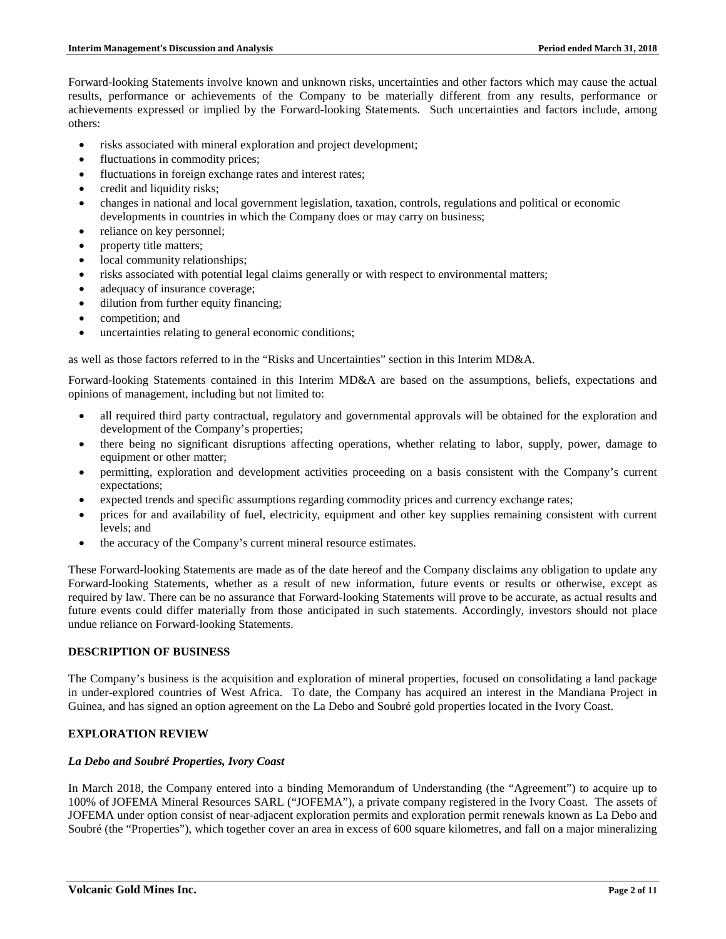Forward-looking Statements involve known and unknown risks, uncertainties and other factors which may cause the actual results, performance or achievements of the Company to be materially different from any results, performance or achievements expressed or implied by the Forward-looking Statements. Such uncertainties and factors include, among others:

- risks associated with mineral exploration and project development;
- fluctuations in commodity prices;
- fluctuations in foreign exchange rates and interest rates;
- credit and liquidity risks;
- changes in national and local government legislation, taxation, controls, regulations and political or economic developments in countries in which the Company does or may carry on business;
- reliance on key personnel;
- property title matters;
- local community relationships;
- risks associated with potential legal claims generally or with respect to environmental matters;
- adequacy of insurance coverage;
- dilution from further equity financing;
- competition; and
- uncertainties relating to general economic conditions;

as well as those factors referred to in the "Risks and Uncertainties" section in this Interim MD&A.

Forward-looking Statements contained in this Interim MD&A are based on the assumptions, beliefs, expectations and opinions of management, including but not limited to:

- all required third party contractual, regulatory and governmental approvals will be obtained for the exploration and development of the Company's properties;
- there being no significant disruptions affecting operations, whether relating to labor, supply, power, damage to equipment or other matter;
- permitting, exploration and development activities proceeding on a basis consistent with the Company's current expectations;
- expected trends and specific assumptions regarding commodity prices and currency exchange rates;
- prices for and availability of fuel, electricity, equipment and other key supplies remaining consistent with current levels; and
- the accuracy of the Company's current mineral resource estimates.

These Forward-looking Statements are made as of the date hereof and the Company disclaims any obligation to update any Forward-looking Statements, whether as a result of new information, future events or results or otherwise, except as required by law. There can be no assurance that Forward-looking Statements will prove to be accurate, as actual results and future events could differ materially from those anticipated in such statements. Accordingly, investors should not place undue reliance on Forward-looking Statements.

# **DESCRIPTION OF BUSINESS**

The Company's business is the acquisition and exploration of mineral properties, focused on consolidating a land package in under-explored countries of West Africa. To date, the Company has acquired an interest in the Mandiana Project in Guinea, and has signed an option agreement on the La Debo and Soubré gold properties located in the Ivory Coast.

# **EXPLORATION REVIEW**

# *La Debo and Soubré Properties, Ivory Coast*

In March 2018, the Company entered into a binding Memorandum of Understanding (the "Agreement") to acquire up to 100% of JOFEMA Mineral Resources SARL ("JOFEMA"), a private company registered in the Ivory Coast. The assets of JOFEMA under option consist of near-adjacent exploration permits and exploration permit renewals known as La Debo and Soubré (the "Properties"), which together cover an area in excess of 600 square kilometres, and fall on a major mineralizing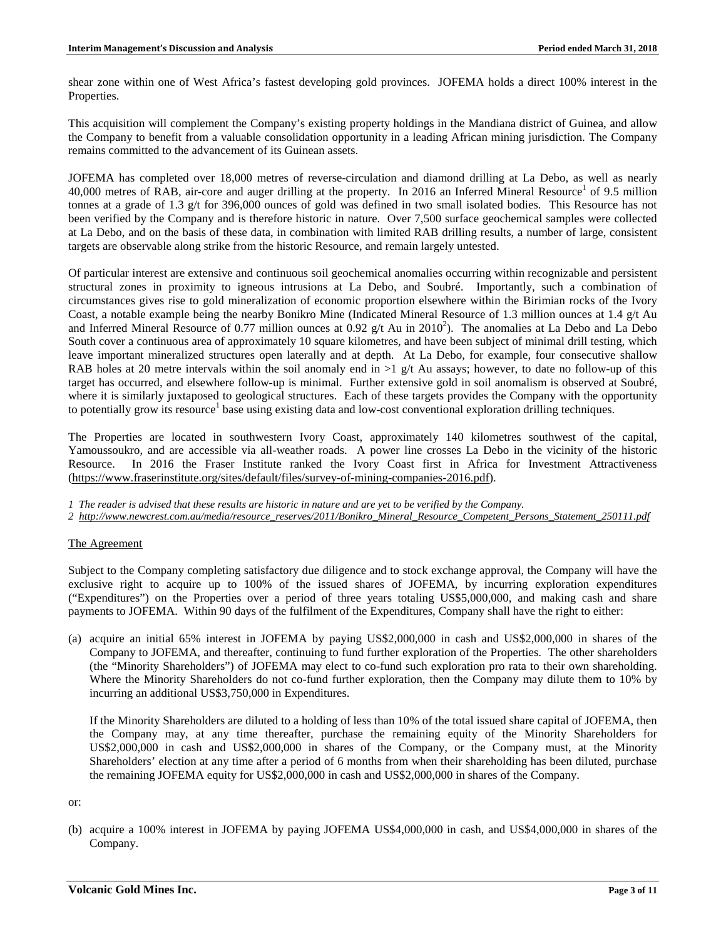shear zone within one of West Africa's fastest developing gold provinces. JOFEMA holds a direct 100% interest in the Properties.

This acquisition will complement the Company's existing property holdings in the Mandiana district of Guinea, and allow the Company to benefit from a valuable consolidation opportunity in a leading African mining jurisdiction. The Company remains committed to the advancement of its Guinean assets.

JOFEMA has completed over 18,000 metres of reverse-circulation and diamond drilling at La Debo, as well as nearly 40,000 metres of RAB, air-core and auger drilling at the property. In 2016 an Inferred Mineral Resource<sup>1</sup> of 9.5 million tonnes at a grade of 1.3 g/t for 396,000 ounces of gold was defined in two small isolated bodies. This Resource has not been verified by the Company and is therefore historic in nature. Over 7,500 surface geochemical samples were collected at La Debo, and on the basis of these data, in combination with limited RAB drilling results, a number of large, consistent targets are observable along strike from the historic Resource, and remain largely untested.

Of particular interest are extensive and continuous soil geochemical anomalies occurring within recognizable and persistent structural zones in proximity to igneous intrusions at La Debo, and Soubré. Importantly, such a combination of circumstances gives rise to gold mineralization of economic proportion elsewhere within the Birimian rocks of the Ivory Coast, a notable example being the nearby Bonikro Mine (Indicated Mineral Resource of 1.3 million ounces at 1.4 g/t Au and Inferred Mineral Resource of 0.77 million ounces at 0.92  $g/t$  Au in 2010<sup>2</sup>). The anomalies at La Debo and La Debo South cover a continuous area of approximately 10 square kilometres, and have been subject of minimal drill testing, which leave important mineralized structures open laterally and at depth. At La Debo, for example, four consecutive shallow RAB holes at 20 metre intervals within the soil anomaly end in  $>1$  g/t Au assays; however, to date no follow-up of this target has occurred, and elsewhere follow-up is minimal. Further extensive gold in soil anomalism is observed at Soubré, where it is similarly juxtaposed to geological structures. Each of these targets provides the Company with the opportunity to potentially grow its resource<sup>1</sup> base using existing data and low-cost conventional exploration drilling techniques.

The Properties are located in southwestern Ivory Coast, approximately 140 kilometres southwest of the capital, Yamoussoukro, and are accessible via all-weather roads. A power line crosses La Debo in the vicinity of the historic Resource. In 2016 the Fraser Institute ranked the Ivory Coast first in Africa for Investment Attractiveness [\(https://www.fraserinstitute.org/sites/default/files/survey-of-mining-companies-2016.pdf\)](https://www.fraserinstitute.org/sites/default/files/survey-of-mining-companies-2016.pdf).

*1 The reader is advised that these results are historic in nature and are yet to be verified by the Company.*

*2 [http://www.newcrest.com.au/media/resource\\_reserves/2011/Bonikro\\_Mineral\\_Resource\\_Competent\\_Persons\\_Statement\\_250111.pdf](http://www.newcrest.com.au/media/resource_reserves/2011/Bonikro_Mineral_Resource_Competent_Persons_Statement_250111.pdf)*

# The Agreement

Subject to the Company completing satisfactory due diligence and to stock exchange approval, the Company will have the exclusive right to acquire up to 100% of the issued shares of JOFEMA, by incurring exploration expenditures ("Expenditures") on the Properties over a period of three years totaling US\$5,000,000, and making cash and share payments to JOFEMA. Within 90 days of the fulfilment of the Expenditures, Company shall have the right to either:

(a) acquire an initial 65% interest in JOFEMA by paying US\$2,000,000 in cash and US\$2,000,000 in shares of the Company to JOFEMA, and thereafter, continuing to fund further exploration of the Properties. The other shareholders (the "Minority Shareholders") of JOFEMA may elect to co-fund such exploration pro rata to their own shareholding. Where the Minority Shareholders do not co-fund further exploration, then the Company may dilute them to 10% by incurring an additional US\$3,750,000 in Expenditures.

If the Minority Shareholders are diluted to a holding of less than 10% of the total issued share capital of JOFEMA, then the Company may, at any time thereafter, purchase the remaining equity of the Minority Shareholders for US\$2,000,000 in cash and US\$2,000,000 in shares of the Company, or the Company must, at the Minority Shareholders' election at any time after a period of 6 months from when their shareholding has been diluted, purchase the remaining JOFEMA equity for US\$2,000,000 in cash and US\$2,000,000 in shares of the Company.

or:

(b) acquire a 100% interest in JOFEMA by paying JOFEMA US\$4,000,000 in cash, and US\$4,000,000 in shares of the Company.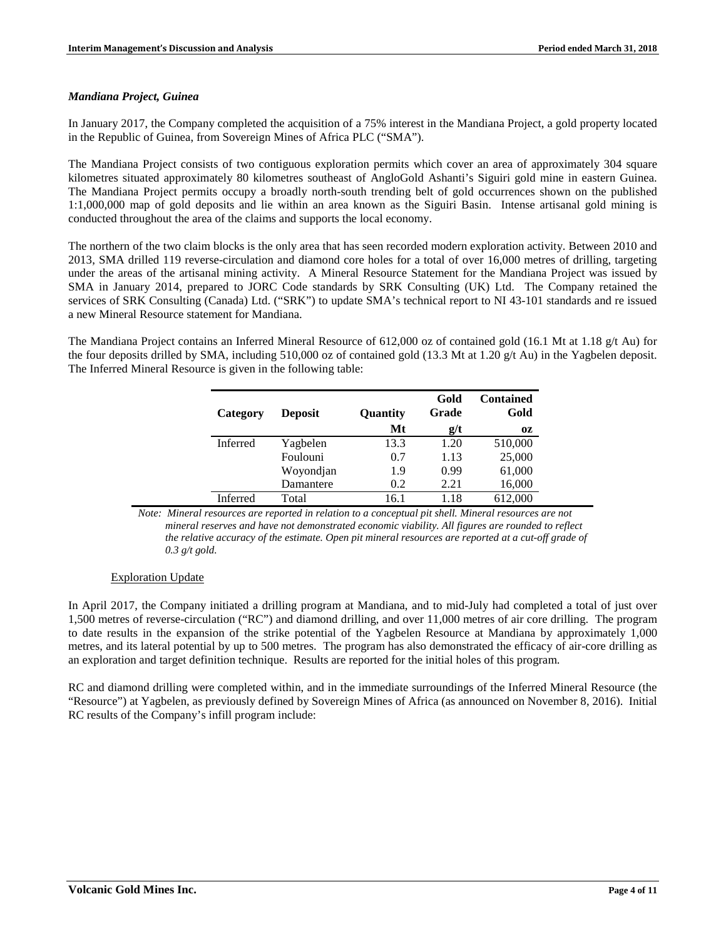#### *Mandiana Project, Guinea*

In January 2017, the Company completed the acquisition of a 75% interest in the Mandiana Project, a gold property located in the Republic of Guinea, from Sovereign Mines of Africa PLC ("SMA").

The Mandiana Project consists of two contiguous exploration permits which cover an area of approximately 304 square kilometres situated approximately 80 kilometres southeast of AngloGold Ashanti's Siguiri gold mine in eastern Guinea. The Mandiana Project permits occupy a broadly north-south trending belt of gold occurrences shown on the published 1:1,000,000 map of gold deposits and lie within an area known as the Siguiri Basin. Intense artisanal gold mining is conducted throughout the area of the claims and supports the local economy.

The northern of the two claim blocks is the only area that has seen recorded modern exploration activity. Between 2010 and 2013, SMA drilled 119 reverse-circulation and diamond core holes for a total of over 16,000 metres of drilling, targeting under the areas of the artisanal mining activity. A Mineral Resource Statement for the Mandiana Project was issued by SMA in January 2014, prepared to JORC Code standards by SRK Consulting (UK) Ltd. The Company retained the services of SRK Consulting (Canada) Ltd. ("SRK") to update SMA's technical report to NI 43-101 standards and re issued a new Mineral Resource statement for Mandiana.

The Mandiana Project contains an Inferred Mineral Resource of 612,000 oz of contained gold (16.1 Mt at 1.18 g/t Au) for the four deposits drilled by SMA, including 510,000 oz of contained gold (13.3 Mt at 1.20 g/t Au) in the Yagbelen deposit. The Inferred Mineral Resource is given in the following table:

| Category        | <b>Deposit</b> | Quantity<br>Mt | Gold<br>Grade | <b>Contained</b><br>Gold |
|-----------------|----------------|----------------|---------------|--------------------------|
|                 |                |                | g/t           | 0Z                       |
| Inferred        | Yagbelen       | 13.3           | 1.20          | 510,000                  |
|                 | Foulouni       | 0.7            | 1.13          | 25,000                   |
|                 | Woyondjan      | 1.9            | 0.99          | 61,000                   |
|                 | Damantere      | 0.2            | 2.21          | 16,000                   |
| <b>Inferred</b> | Total          | 16.1           | 1.18          | 612,000                  |

*Note: Mineral resources are reported in relation to a conceptual pit shell. Mineral resources are not mineral reserves and have not demonstrated economic viability. All figures are rounded to reflect the relative accuracy of the estimate. Open pit mineral resources are reported at a cut-off grade of 0.3 g/t gold.* 

# Exploration Update

In April 2017, the Company initiated a drilling program at Mandiana, and to mid-July had completed a total of just over 1,500 metres of reverse-circulation ("RC") and diamond drilling, and over 11,000 metres of air core drilling. The program to date results in the expansion of the strike potential of the Yagbelen Resource at Mandiana by approximately 1,000 metres, and its lateral potential by up to 500 metres. The program has also demonstrated the efficacy of air-core drilling as an exploration and target definition technique. Results are reported for the initial holes of this program.

RC and diamond drilling were completed within, and in the immediate surroundings of the Inferred Mineral Resource (the "Resource") at Yagbelen, as previously defined by Sovereign Mines of Africa (as announced on November 8, 2016). Initial RC results of the Company's infill program include: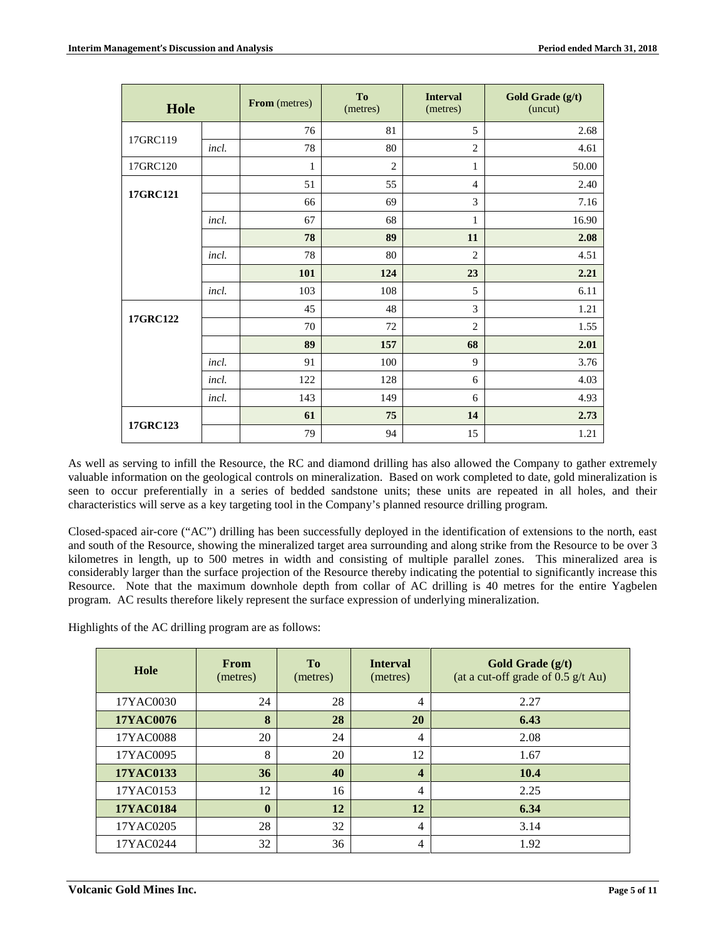| Hole     |       | From (metres) | To<br>(metres) | <b>Interval</b><br>(metres) | Gold Grade (g/t)<br>(uncut) |
|----------|-------|---------------|----------------|-----------------------------|-----------------------------|
|          |       | 76            | 81             | 5                           | 2.68                        |
| 17GRC119 | incl. | 78            | 80             | $\overline{2}$              | 4.61                        |
| 17GRC120 |       | 1             | $\overline{2}$ | 1                           | 50.00                       |
|          |       | 51            | 55             | $\overline{4}$              | 2.40                        |
| 17GRC121 |       | 66            | 69             | 3                           | 7.16                        |
|          | incl. | 67            | 68             | 1                           | 16.90                       |
|          |       | 78            | 89             | 11                          | 2.08                        |
|          | incl. | 78            | 80             | $\overline{2}$              | 4.51                        |
|          |       | 101           | 124            | 23                          | 2.21                        |
|          | incl. | 103           | 108            | 5                           | 6.11                        |
| 17GRC122 |       | 45            | 48             | 3                           | 1.21                        |
|          |       | 70            | 72             | $\overline{2}$              | 1.55                        |
|          |       | 89            | 157            | 68                          | 2.01                        |
|          | incl. | 91            | 100            | 9                           | 3.76                        |
|          | incl. | 122           | 128            | 6                           | 4.03                        |
|          | incl. | 143           | 149            | 6                           | 4.93                        |
|          |       | 61            | 75             | 14                          | 2.73                        |
| 17GRC123 |       | 79            | 94             | 15                          | 1.21                        |

As well as serving to infill the Resource, the RC and diamond drilling has also allowed the Company to gather extremely valuable information on the geological controls on mineralization. Based on work completed to date, gold mineralization is seen to occur preferentially in a series of bedded sandstone units; these units are repeated in all holes, and their characteristics will serve as a key targeting tool in the Company's planned resource drilling program.

Closed-spaced air-core ("AC") drilling has been successfully deployed in the identification of extensions to the north, east and south of the Resource, showing the mineralized target area surrounding and along strike from the Resource to be over 3 kilometres in length, up to 500 metres in width and consisting of multiple parallel zones. This mineralized area is considerably larger than the surface projection of the Resource thereby indicating the potential to significantly increase this Resource. Note that the maximum downhole depth from collar of AC drilling is 40 metres for the entire Yagbelen program. AC results therefore likely represent the surface expression of underlying mineralization.

Highlights of the AC drilling program are as follows:

| Hole             | <b>From</b><br>(metres) | T <sub>0</sub><br>(metres) | <b>Interval</b><br>(metres) | Gold Grade (g/t)<br>(at a cut-off grade of $0.5$ g/t Au) |
|------------------|-------------------------|----------------------------|-----------------------------|----------------------------------------------------------|
| 17YAC0030        | 24                      | 28                         | 4                           | 2.27                                                     |
| <b>17YAC0076</b> | 8                       | 28                         | 20                          | 6.43                                                     |
| 17YAC0088        | 20                      | 24                         | 4                           | 2.08                                                     |
| 17YAC0095        | 8                       | 20                         | 12                          | 1.67                                                     |
| <b>17YAC0133</b> | 36                      | 40                         | 4                           | 10.4                                                     |
| 17YAC0153        | 12                      | 16                         | 4                           | 2.25                                                     |
| 17YAC0184        | $\mathbf{0}$            | 12                         | 12                          | 6.34                                                     |
| 17YAC0205        | 28                      | 32                         | 4                           | 3.14                                                     |
| 17YAC0244        | 32                      | 36                         | 4                           | 1.92                                                     |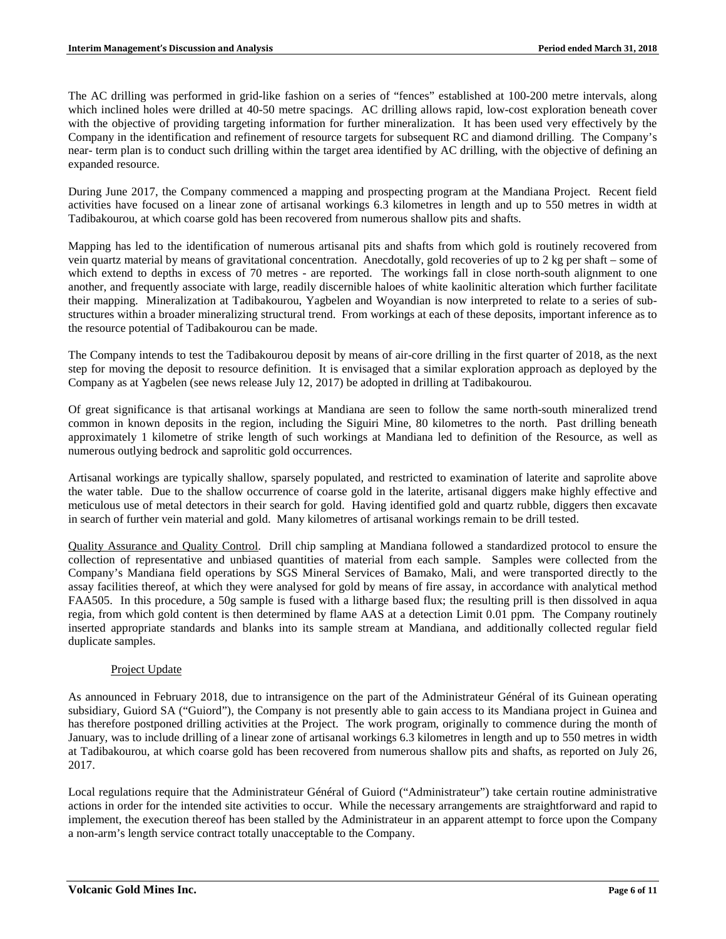The AC drilling was performed in grid-like fashion on a series of "fences" established at 100-200 metre intervals, along which inclined holes were drilled at 40-50 metre spacings. AC drilling allows rapid, low-cost exploration beneath cover with the objective of providing targeting information for further mineralization. It has been used very effectively by the Company in the identification and refinement of resource targets for subsequent RC and diamond drilling. The Company's near- term plan is to conduct such drilling within the target area identified by AC drilling, with the objective of defining an expanded resource.

During June 2017, the Company commenced a mapping and prospecting program at the Mandiana Project. Recent field activities have focused on a linear zone of artisanal workings 6.3 kilometres in length and up to 550 metres in width at Tadibakourou, at which coarse gold has been recovered from numerous shallow pits and shafts.

Mapping has led to the identification of numerous artisanal pits and shafts from which gold is routinely recovered from vein quartz material by means of gravitational concentration. Anecdotally, gold recoveries of up to 2 kg per shaft – some of which extend to depths in excess of 70 metres - are reported. The workings fall in close north-south alignment to one another, and frequently associate with large, readily discernible haloes of white kaolinitic alteration which further facilitate their mapping. Mineralization at Tadibakourou, Yagbelen and Woyandian is now interpreted to relate to a series of substructures within a broader mineralizing structural trend. From workings at each of these deposits, important inference as to the resource potential of Tadibakourou can be made.

The Company intends to test the Tadibakourou deposit by means of air-core drilling in the first quarter of 2018, as the next step for moving the deposit to resource definition. It is envisaged that a similar exploration approach as deployed by the Company as at Yagbelen (see news release July 12, 2017) be adopted in drilling at Tadibakourou.

Of great significance is that artisanal workings at Mandiana are seen to follow the same north-south mineralized trend common in known deposits in the region, including the Siguiri Mine, 80 kilometres to the north. Past drilling beneath approximately 1 kilometre of strike length of such workings at Mandiana led to definition of the Resource, as well as numerous outlying bedrock and saprolitic gold occurrences.

Artisanal workings are typically shallow, sparsely populated, and restricted to examination of laterite and saprolite above the water table. Due to the shallow occurrence of coarse gold in the laterite, artisanal diggers make highly effective and meticulous use of metal detectors in their search for gold. Having identified gold and quartz rubble, diggers then excavate in search of further vein material and gold. Many kilometres of artisanal workings remain to be drill tested.

Quality Assurance and Quality Control. Drill chip sampling at Mandiana followed a standardized protocol to ensure the collection of representative and unbiased quantities of material from each sample. Samples were collected from the Company's Mandiana field operations by SGS Mineral Services of Bamako, Mali, and were transported directly to the assay facilities thereof, at which they were analysed for gold by means of fire assay, in accordance with analytical method FAA505. In this procedure, a 50g sample is fused with a litharge based flux; the resulting prill is then dissolved in aqua regia, from which gold content is then determined by flame AAS at a detection Limit 0.01 ppm. The Company routinely inserted appropriate standards and blanks into its sample stream at Mandiana, and additionally collected regular field duplicate samples.

# Project Update

As announced in February 2018, due to intransigence on the part of the Administrateur Général of its Guinean operating subsidiary, Guiord SA ("Guiord"), the Company is not presently able to gain access to its Mandiana project in Guinea and has therefore postponed drilling activities at the Project. The work program, originally to commence during the month of January, was to include drilling of a linear zone of artisanal workings 6.3 kilometres in length and up to 550 metres in width at Tadibakourou, at which coarse gold has been recovered from numerous shallow pits and shafts, as reported on July 26, 2017.

Local regulations require that the Administrateur Général of Guiord ("Administrateur") take certain routine administrative actions in order for the intended site activities to occur. While the necessary arrangements are straightforward and rapid to implement, the execution thereof has been stalled by the Administrateur in an apparent attempt to force upon the Company a non-arm's length service contract totally unacceptable to the Company.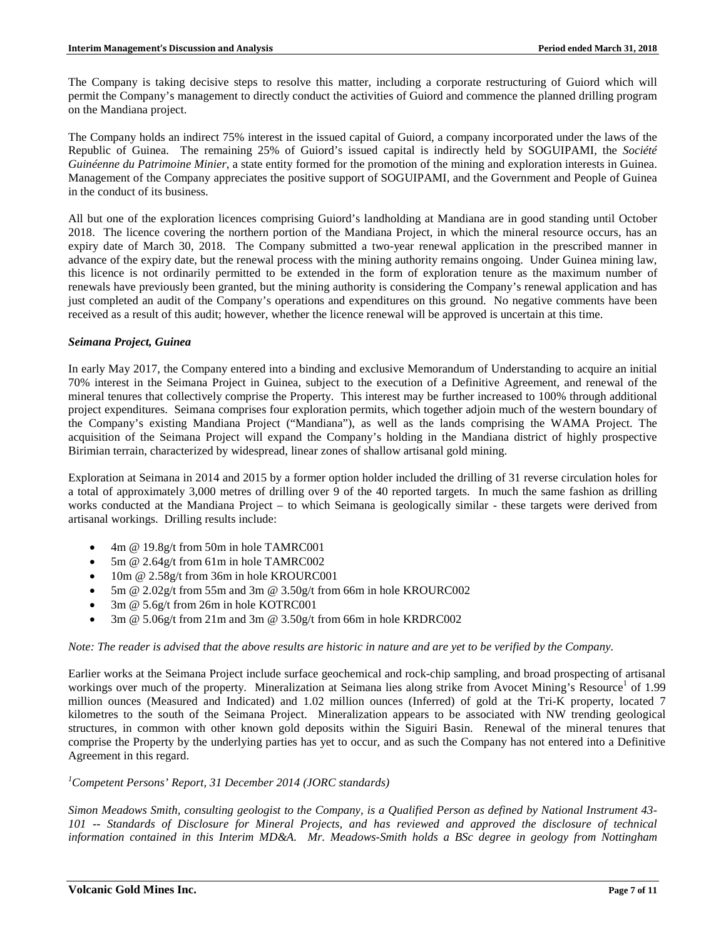The Company is taking decisive steps to resolve this matter, including a corporate restructuring of Guiord which will permit the Company's management to directly conduct the activities of Guiord and commence the planned drilling program on the Mandiana project.

The Company holds an indirect 75% interest in the issued capital of Guiord, a company incorporated under the laws of the Republic of Guinea. The remaining 25% of Guiord's issued capital is indirectly held by SOGUIPAMI, the *Société Guinéenne du Patrimoine Minier*, a state entity formed for the promotion of the mining and exploration interests in Guinea. Management of the Company appreciates the positive support of SOGUIPAMI, and the Government and People of Guinea in the conduct of its business.

All but one of the exploration licences comprising Guiord's landholding at Mandiana are in good standing until October 2018. The licence covering the northern portion of the Mandiana Project, in which the mineral resource occurs, has an expiry date of March 30, 2018. The Company submitted a two-year renewal application in the prescribed manner in advance of the expiry date, but the renewal process with the mining authority remains ongoing. Under Guinea mining law, this licence is not ordinarily permitted to be extended in the form of exploration tenure as the maximum number of renewals have previously been granted, but the mining authority is considering the Company's renewal application and has just completed an audit of the Company's operations and expenditures on this ground. No negative comments have been received as a result of this audit; however, whether the licence renewal will be approved is uncertain at this time.

#### *Seimana Project, Guinea*

In early May 2017, the Company entered into a binding and exclusive Memorandum of Understanding to acquire an initial 70% interest in the Seimana Project in Guinea, subject to the execution of a Definitive Agreement, and renewal of the mineral tenures that collectively comprise the Property. This interest may be further increased to 100% through additional project expenditures. Seimana comprises four exploration permits, which together adjoin much of the western boundary of the Company's existing Mandiana Project ("Mandiana"), as well as the lands comprising the WAMA Project. The acquisition of the Seimana Project will expand the Company's holding in the Mandiana district of highly prospective Birimian terrain, characterized by widespread, linear zones of shallow artisanal gold mining.

Exploration at Seimana in 2014 and 2015 by a former option holder included the drilling of 31 reverse circulation holes for a total of approximately 3,000 metres of drilling over 9 of the 40 reported targets. In much the same fashion as drilling works conducted at the Mandiana Project – to which Seimana is geologically similar - these targets were derived from artisanal workings. Drilling results include:

- 4m @ 19.8g/t from 50m in hole TAMRC001
- 5m @ 2.64g/t from 61m in hole TAMRC002
- 10m @ 2.58g/t from 36m in hole KROURC001
- 5m  $@ 2.02g/t$  from 55m and 3m  $@ 3.50g/t$  from 66m in hole KROURC002
- 3m @ 5.6g/t from 26m in hole KOTRC001
- 3m @ 5.06g/t from 21m and 3m @ 3.50g/t from 66m in hole KRDRC002

# *Note: The reader is advised that the above results are historic in nature and are yet to be verified by the Company.*

Earlier works at the Seimana Project include surface geochemical and rock-chip sampling, and broad prospecting of artisanal workings over much of the property. Mineralization at Seimana lies along strike from Avocet Mining's Resource<sup>1</sup> of 1.99 million ounces (Measured and Indicated) and 1.02 million ounces (Inferred) of gold at the Tri-K property, located 7 kilometres to the south of the Seimana Project. Mineralization appears to be associated with NW trending geological structures, in common with other known gold deposits within the Siguiri Basin. Renewal of the mineral tenures that comprise the Property by the underlying parties has yet to occur, and as such the Company has not entered into a Definitive Agreement in this regard.

# *1 Competent Persons' Report, 31 December 2014 (JORC standards)*

*Simon Meadows Smith, consulting geologist to the Company, is a Qualified Person as defined by National Instrument 43- 101 -- Standards of Disclosure for Mineral Projects, and has reviewed and approved the disclosure of technical information contained in this Interim MD&A. Mr. Meadows-Smith holds a BSc degree in geology from Nottingham*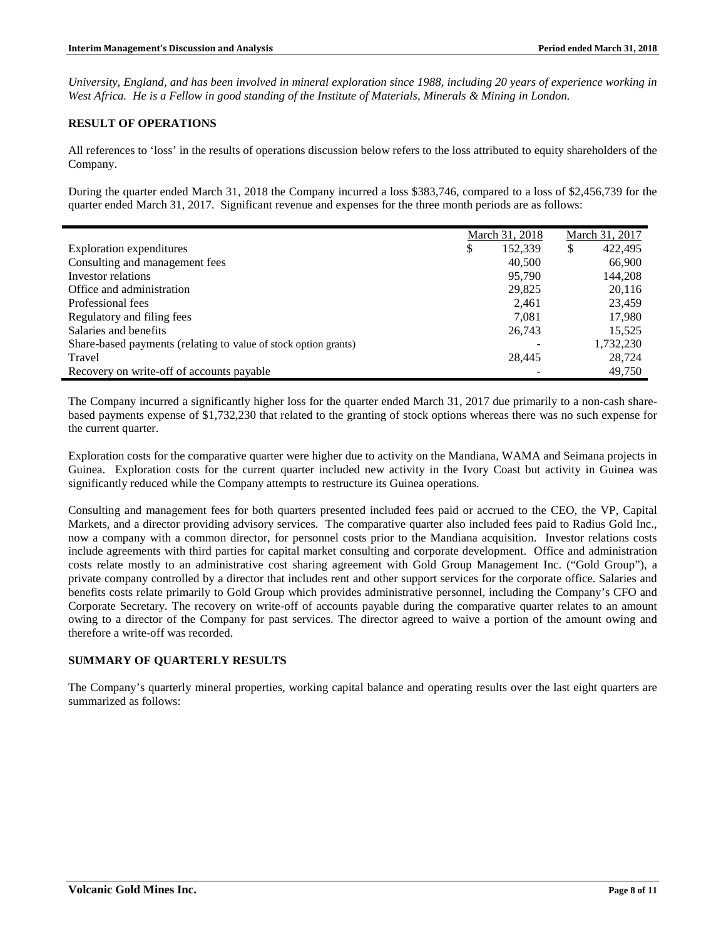*University, England, and has been involved in mineral exploration since 1988, including 20 years of experience working in West Africa. He is a Fellow in good standing of the Institute of Materials, Minerals & Mining in London.*

### **RESULT OF OPERATIONS**

All references to 'loss' in the results of operations discussion below refers to the loss attributed to equity shareholders of the Company.

During the quarter ended March 31, 2018 the Company incurred a loss \$383,746, compared to a loss of \$2,456,739 for the quarter ended March 31, 2017. Significant revenue and expenses for the three month periods are as follows:

|                                                                 | March 31, 2018 |   | March 31, 2017 |
|-----------------------------------------------------------------|----------------|---|----------------|
| Exploration expenditures                                        | \$<br>152,339  | S | 422,495        |
| Consulting and management fees                                  | 40,500         |   | 66,900         |
| Investor relations                                              | 95,790         |   | 144,208        |
| Office and administration                                       | 29,825         |   | 20,116         |
| Professional fees                                               | 2.461          |   | 23.459         |
| Regulatory and filing fees                                      | 7.081          |   | 17,980         |
| Salaries and benefits                                           | 26,743         |   | 15.525         |
| Share-based payments (relating to value of stock option grants) |                |   | 1,732,230      |
| Travel                                                          | 28,445         |   | 28,724         |
| Recovery on write-off of accounts payable                       |                |   | 49.750         |

The Company incurred a significantly higher loss for the quarter ended March 31, 2017 due primarily to a non-cash sharebased payments expense of \$1,732,230 that related to the granting of stock options whereas there was no such expense for the current quarter.

Exploration costs for the comparative quarter were higher due to activity on the Mandiana, WAMA and Seimana projects in Guinea. Exploration costs for the current quarter included new activity in the Ivory Coast but activity in Guinea was significantly reduced while the Company attempts to restructure its Guinea operations.

Consulting and management fees for both quarters presented included fees paid or accrued to the CEO, the VP, Capital Markets, and a director providing advisory services. The comparative quarter also included fees paid to Radius Gold Inc., now a company with a common director, for personnel costs prior to the Mandiana acquisition. Investor relations costs include agreements with third parties for capital market consulting and corporate development. Office and administration costs relate mostly to an administrative cost sharing agreement with Gold Group Management Inc. ("Gold Group"), a private company controlled by a director that includes rent and other support services for the corporate office. Salaries and benefits costs relate primarily to Gold Group which provides administrative personnel, including the Company's CFO and Corporate Secretary. The recovery on write-off of accounts payable during the comparative quarter relates to an amount owing to a director of the Company for past services. The director agreed to waive a portion of the amount owing and therefore a write-off was recorded.

# **SUMMARY OF QUARTERLY RESULTS**

The Company's quarterly mineral properties, working capital balance and operating results over the last eight quarters are summarized as follows: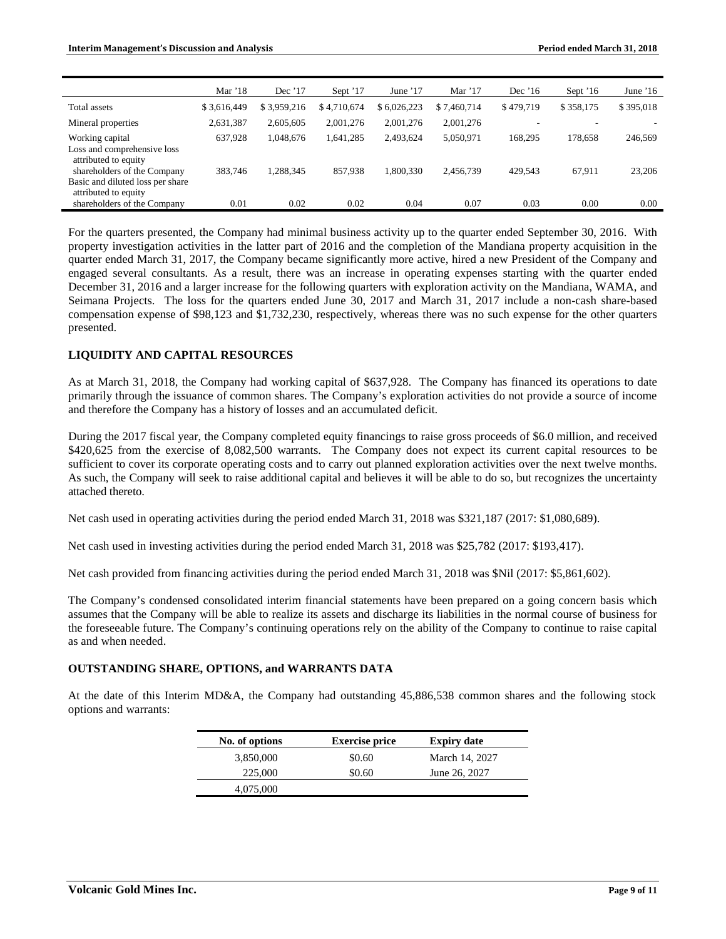|                                                                                         | Mar $'18$   | Dec '17     | Sept '17    | June $'17$  | Mar $'17$   | Dec $'16$ | Sept $16$ | June $16$ |
|-----------------------------------------------------------------------------------------|-------------|-------------|-------------|-------------|-------------|-----------|-----------|-----------|
| Total assets                                                                            | \$3.616.449 | \$3.959.216 | \$4,710,674 | \$6.026.223 | \$7.460.714 | \$479.719 | \$358,175 | \$395,018 |
| Mineral properties                                                                      | 2,631,387   | 2.605.605   | 2.001.276   | 2.001.276   | 2,001,276   |           |           |           |
| Working capital<br>Loss and comprehensive loss<br>attributed to equity                  | 637.928     | 1,048,676   | 1,641,285   | 2,493,624   | 5,050,971   | 168.295   | 178,658   | 246,569   |
| shareholders of the Company<br>Basic and diluted loss per share<br>attributed to equity | 383.746     | 1,288,345   | 857,938     | 1.800.330   | 2,456,739   | 429.543   | 67,911    | 23,206    |
| shareholders of the Company                                                             | 0.01        | 0.02        | 0.02        | 0.04        | 0.07        | 0.03      | 0.00      | 0.00      |

For the quarters presented, the Company had minimal business activity up to the quarter ended September 30, 2016. With property investigation activities in the latter part of 2016 and the completion of the Mandiana property acquisition in the quarter ended March 31, 2017, the Company became significantly more active, hired a new President of the Company and engaged several consultants. As a result, there was an increase in operating expenses starting with the quarter ended December 31, 2016 and a larger increase for the following quarters with exploration activity on the Mandiana, WAMA, and Seimana Projects. The loss for the quarters ended June 30, 2017 and March 31, 2017 include a non-cash share-based compensation expense of \$98,123 and \$1,732,230, respectively, whereas there was no such expense for the other quarters presented.

# **LIQUIDITY AND CAPITAL RESOURCES**

As at March 31, 2018, the Company had working capital of \$637,928. The Company has financed its operations to date primarily through the issuance of common shares. The Company's exploration activities do not provide a source of income and therefore the Company has a history of losses and an accumulated deficit.

During the 2017 fiscal year, the Company completed equity financings to raise gross proceeds of \$6.0 million, and received \$420,625 from the exercise of 8,082,500 warrants. The Company does not expect its current capital resources to be sufficient to cover its corporate operating costs and to carry out planned exploration activities over the next twelve months. As such, the Company will seek to raise additional capital and believes it will be able to do so, but recognizes the uncertainty attached thereto.

Net cash used in operating activities during the period ended March 31, 2018 was \$321,187 (2017: \$1,080,689).

Net cash used in investing activities during the period ended March 31, 2018 was \$25,782 (2017: \$193,417).

Net cash provided from financing activities during the period ended March 31, 2018 was \$Nil (2017: \$5,861,602).

The Company's condensed consolidated interim financial statements have been prepared on a going concern basis which assumes that the Company will be able to realize its assets and discharge its liabilities in the normal course of business for the foreseeable future. The Company's continuing operations rely on the ability of the Company to continue to raise capital as and when needed.

#### **OUTSTANDING SHARE, OPTIONS, and WARRANTS DATA**

At the date of this Interim MD&A, the Company had outstanding 45,886,538 common shares and the following stock options and warrants:

| No. of options | <b>Exercise price</b> | <b>Expiry date</b> |
|----------------|-----------------------|--------------------|
| 3,850,000      | \$0.60                | March 14, 2027     |
| 225,000        | \$0.60                | June 26, 2027      |
| 4,075,000      |                       |                    |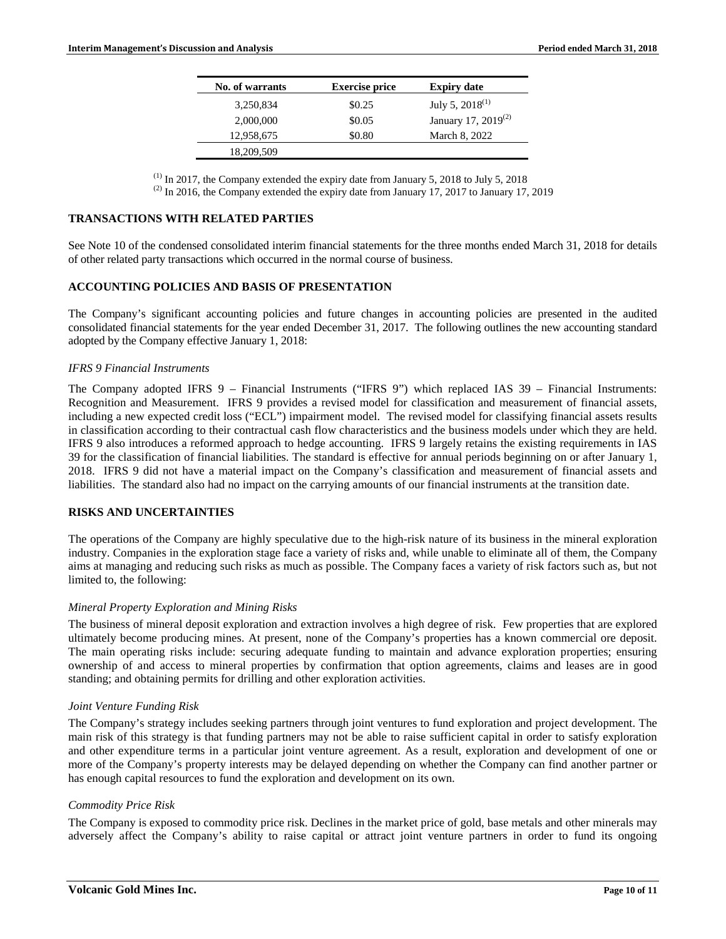| No. of warrants | <b>Exercise price</b> | <b>Expiry date</b>              |
|-----------------|-----------------------|---------------------------------|
| 3,250,834       | \$0.25                | July 5, $2018^{(1)}$            |
| 2,000,000       | \$0.05                | January 17, 2019 <sup>(2)</sup> |
| 12,958,675      | \$0.80                | March 8, 2022                   |
| 18,209,509      |                       |                                 |

 $(1)$  In 2017, the Company extended the expiry date from January 5, 2018 to July 5, 2018

 $(2)$  In 2016, the Company extended the expiry date from January 17, 2017 to January 17, 2019

#### **TRANSACTIONS WITH RELATED PARTIES**

See Note 10 of the condensed consolidated interim financial statements for the three months ended March 31, 2018 for details of other related party transactions which occurred in the normal course of business.

# **ACCOUNTING POLICIES AND BASIS OF PRESENTATION**

The Company's significant accounting policies and future changes in accounting policies are presented in the audited consolidated financial statements for the year ended December 31, 2017. The following outlines the new accounting standard adopted by the Company effective January 1, 2018:

#### *IFRS 9 Financial Instruments*

The Company adopted IFRS 9 – Financial Instruments ("IFRS 9") which replaced IAS 39 – Financial Instruments: Recognition and Measurement. IFRS 9 provides a revised model for classification and measurement of financial assets, including a new expected credit loss ("ECL") impairment model. The revised model for classifying financial assets results in classification according to their contractual cash flow characteristics and the business models under which they are held. IFRS 9 also introduces a reformed approach to hedge accounting. IFRS 9 largely retains the existing requirements in IAS 39 for the classification of financial liabilities. The standard is effective for annual periods beginning on or after January 1, 2018. IFRS 9 did not have a material impact on the Company's classification and measurement of financial assets and liabilities. The standard also had no impact on the carrying amounts of our financial instruments at the transition date.

#### **RISKS AND UNCERTAINTIES**

The operations of the Company are highly speculative due to the high-risk nature of its business in the mineral exploration industry. Companies in the exploration stage face a variety of risks and, while unable to eliminate all of them, the Company aims at managing and reducing such risks as much as possible. The Company faces a variety of risk factors such as, but not limited to, the following:

#### *Mineral Property Exploration and Mining Risks*

The business of mineral deposit exploration and extraction involves a high degree of risk. Few properties that are explored ultimately become producing mines. At present, none of the Company's properties has a known commercial ore deposit. The main operating risks include: securing adequate funding to maintain and advance exploration properties; ensuring ownership of and access to mineral properties by confirmation that option agreements, claims and leases are in good standing; and obtaining permits for drilling and other exploration activities.

#### *Joint Venture Funding Risk*

The Company's strategy includes seeking partners through joint ventures to fund exploration and project development. The main risk of this strategy is that funding partners may not be able to raise sufficient capital in order to satisfy exploration and other expenditure terms in a particular joint venture agreement. As a result, exploration and development of one or more of the Company's property interests may be delayed depending on whether the Company can find another partner or has enough capital resources to fund the exploration and development on its own.

#### *Commodity Price Risk*

The Company is exposed to commodity price risk. Declines in the market price of gold, base metals and other minerals may adversely affect the Company's ability to raise capital or attract joint venture partners in order to fund its ongoing